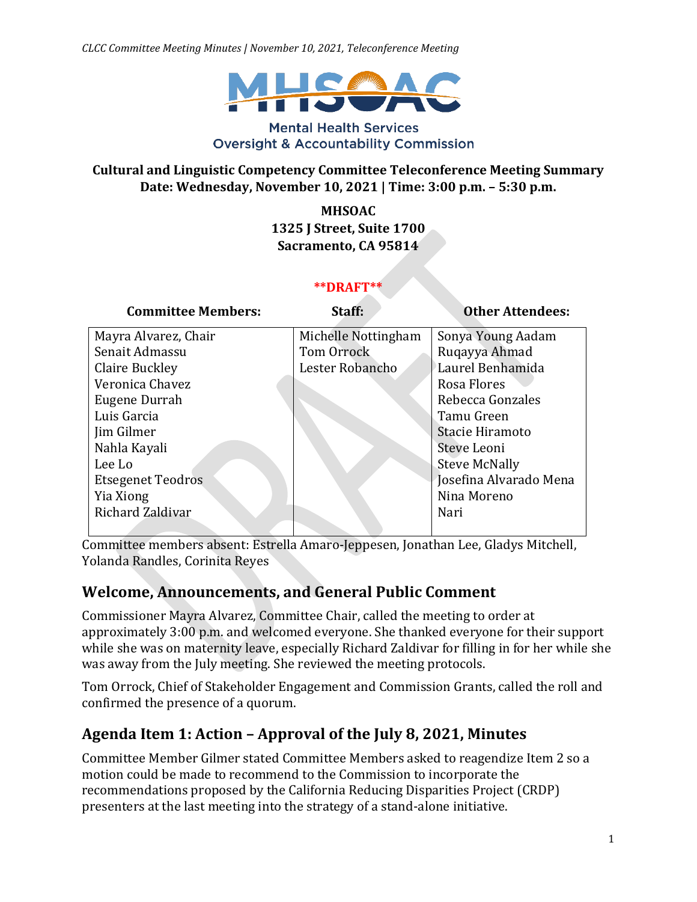*CLCC Committee Meeting Minutes | November 10, 2021, Teleconference Meeting*



#### **Mental Health Services Oversight & Accountability Commission**

### **Cultural and Linguistic Competency Committee Teleconference Meeting Summary Date: Wednesday, November 10, 2021 | Time: 3:00 p.m. – 5:30 p.m.**

**MHSOAC 1325 J Street, Suite 1700 Sacramento, CA 95814**

#### **\*\*DRAFT\*\***

| <b>Committee Members:</b> | Staff:              | <b>Other Attendees:</b> |
|---------------------------|---------------------|-------------------------|
| Mayra Alvarez, Chair      | Michelle Nottingham | Sonya Young Aadam       |
| Senait Admassu            | <b>Tom Orrock</b>   | Ruqayya Ahmad           |
| Claire Buckley            | Lester Robancho     | Laurel Benhamida        |
| Veronica Chavez           |                     | Rosa Flores             |
| Eugene Durrah             |                     | Rebecca Gonzales        |
| Luis Garcia               |                     | Tamu Green              |
| Jim Gilmer                |                     | Stacie Hiramoto         |
| Nahla Kayali              |                     | Steve Leoni             |
| Lee Lo                    |                     | <b>Steve McNally</b>    |
| <b>Etsegenet Teodros</b>  |                     | Josefina Alvarado Mena  |
| Yia Xiong                 |                     | Nina Moreno             |
| Richard Zaldivar          |                     | Nari                    |
|                           |                     |                         |

Committee members absent: Estrella Amaro-Jeppesen, Jonathan Lee, Gladys Mitchell, Yolanda Randles, Corinita Reyes

### **Welcome, Announcements, and General Public Comment**

Commissioner Mayra Alvarez, Committee Chair, called the meeting to order at approximately 3:00 p.m. and welcomed everyone. She thanked everyone for their support while she was on maternity leave, especially Richard Zaldivar for filling in for her while she was away from the July meeting. She reviewed the meeting protocols.

Tom Orrock, Chief of Stakeholder Engagement and Commission Grants, called the roll and confirmed the presence of a quorum.

## **Agenda Item 1: Action – Approval of the July 8, 2021, Minutes**

Committee Member Gilmer stated Committee Members asked to reagendize Item 2 so a motion could be made to recommend to the Commission to incorporate the recommendations proposed by the California Reducing Disparities Project (CRDP) presenters at the last meeting into the strategy of a stand-alone initiative.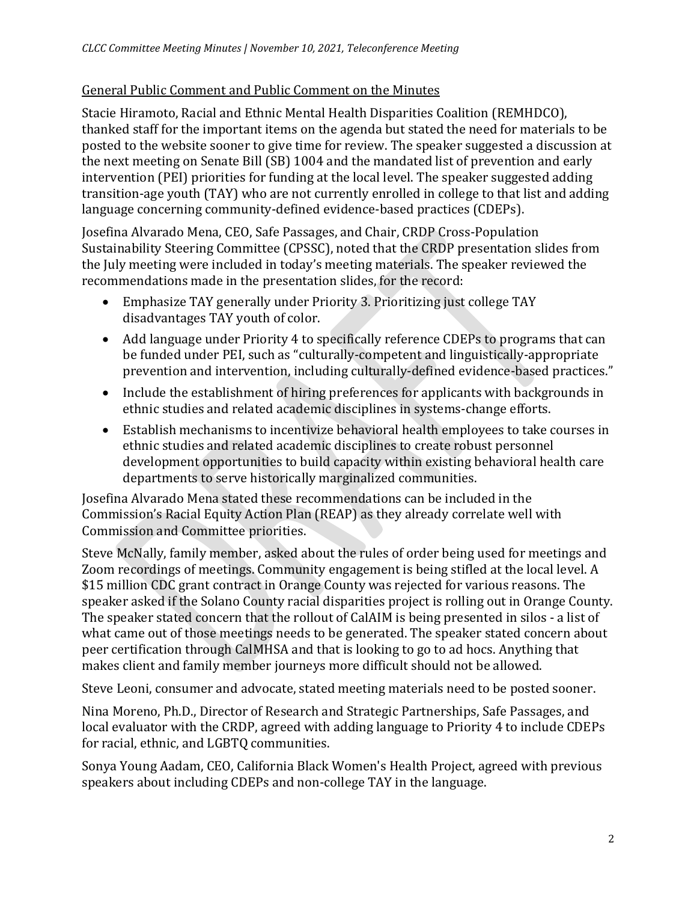### General Public Comment and Public Comment on the Minutes

Stacie Hiramoto, Racial and Ethnic Mental Health Disparities Coalition (REMHDCO), thanked staff for the important items on the agenda but stated the need for materials to be posted to the website sooner to give time for review. The speaker suggested a discussion at the next meeting on Senate Bill (SB) 1004 and the mandated list of prevention and early intervention (PEI) priorities for funding at the local level. The speaker suggested adding transition-age youth (TAY) who are not currently enrolled in college to that list and adding language concerning community-defined evidence-based practices (CDEPs).

Josefina Alvarado Mena, CEO, Safe Passages, and Chair, CRDP Cross-Population Sustainability Steering Committee (CPSSC), noted that the CRDP presentation slides from the July meeting were included in today's meeting materials. The speaker reviewed the recommendations made in the presentation slides, for the record:

- Emphasize TAY generally under Priority 3. Prioritizing just college TAY disadvantages TAY youth of color.
- Add language under Priority 4 to specifically reference CDEPs to programs that can be funded under PEI, such as "culturally-competent and linguistically-appropriate prevention and intervention, including culturally-defined evidence-based practices."
- Include the establishment of hiring preferences for applicants with backgrounds in ethnic studies and related academic disciplines in systems-change efforts.
- Establish mechanisms to incentivize behavioral health employees to take courses in ethnic studies and related academic disciplines to create robust personnel development opportunities to build capacity within existing behavioral health care departments to serve historically marginalized communities.

Josefina Alvarado Mena stated these recommendations can be included in the Commission's Racial Equity Action Plan (REAP) as they already correlate well with Commission and Committee priorities.

Steve McNally, family member, asked about the rules of order being used for meetings and Zoom recordings of meetings. Community engagement is being stifled at the local level. A \$15 million CDC grant contract in Orange County was rejected for various reasons. The speaker asked if the Solano County racial disparities project is rolling out in Orange County. The speaker stated concern that the rollout of CalAIM is being presented in silos - a list of what came out of those meetings needs to be generated. The speaker stated concern about peer certification through CalMHSA and that is looking to go to ad hocs. Anything that makes client and family member journeys more difficult should not be allowed.

Steve Leoni, consumer and advocate, stated meeting materials need to be posted sooner.

Nina Moreno, Ph.D., Director of Research and Strategic Partnerships, Safe Passages, and local evaluator with the CRDP, agreed with adding language to Priority 4 to include CDEPs for racial, ethnic, and LGBTQ communities.

Sonya Young Aadam, CEO, California Black Women's Health Project, agreed with previous speakers about including CDEPs and non-college TAY in the language.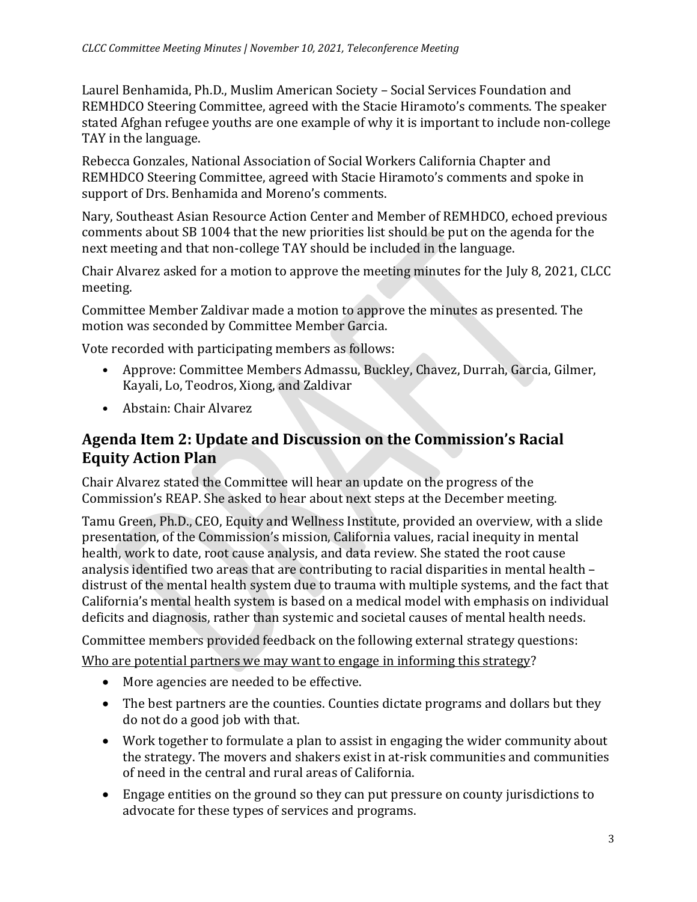Laurel Benhamida, Ph.D., Muslim American Society – Social Services Foundation and REMHDCO Steering Committee, agreed with the Stacie Hiramoto's comments. The speaker stated Afghan refugee youths are one example of why it is important to include non-college TAY in the language.

Rebecca Gonzales, National Association of Social Workers California Chapter and REMHDCO Steering Committee, agreed with Stacie Hiramoto's comments and spoke in support of Drs. Benhamida and Moreno's comments.

Nary, Southeast Asian Resource Action Center and Member of REMHDCO, echoed previous comments about SB 1004 that the new priorities list should be put on the agenda for the next meeting and that non-college TAY should be included in the language.

Chair Alvarez asked for a motion to approve the meeting minutes for the July 8, 2021, CLCC meeting.

Committee Member Zaldivar made a motion to approve the minutes as presented. The motion was seconded by Committee Member Garcia.

Vote recorded with participating members as follows:

- Approve: Committee Members Admassu, Buckley, Chavez, Durrah, Garcia, Gilmer, Kayali, Lo, Teodros, Xiong, and Zaldivar
- Abstain: Chair Alvarez

# **Agenda Item 2: Update and Discussion on the Commission's Racial Equity Action Plan**

Chair Alvarez stated the Committee will hear an update on the progress of the Commission's REAP. She asked to hear about next steps at the December meeting.

Tamu Green, Ph.D., CEO, Equity and Wellness Institute, provided an overview, with a slide presentation, of the Commission's mission, California values, racial inequity in mental health, work to date, root cause analysis, and data review. She stated the root cause analysis identified two areas that are contributing to racial disparities in mental health – distrust of the mental health system due to trauma with multiple systems, and the fact that California's mental health system is based on a medical model with emphasis on individual deficits and diagnosis, rather than systemic and societal causes of mental health needs.

Committee members provided feedback on the following external strategy questions:

Who are potential partners we may want to engage in informing this strategy?

- More agencies are needed to be effective.
- The best partners are the counties. Counties dictate programs and dollars but they do not do a good job with that.
- Work together to formulate a plan to assist in engaging the wider community about the strategy. The movers and shakers exist in at-risk communities and communities of need in the central and rural areas of California.
- Engage entities on the ground so they can put pressure on county jurisdictions to advocate for these types of services and programs.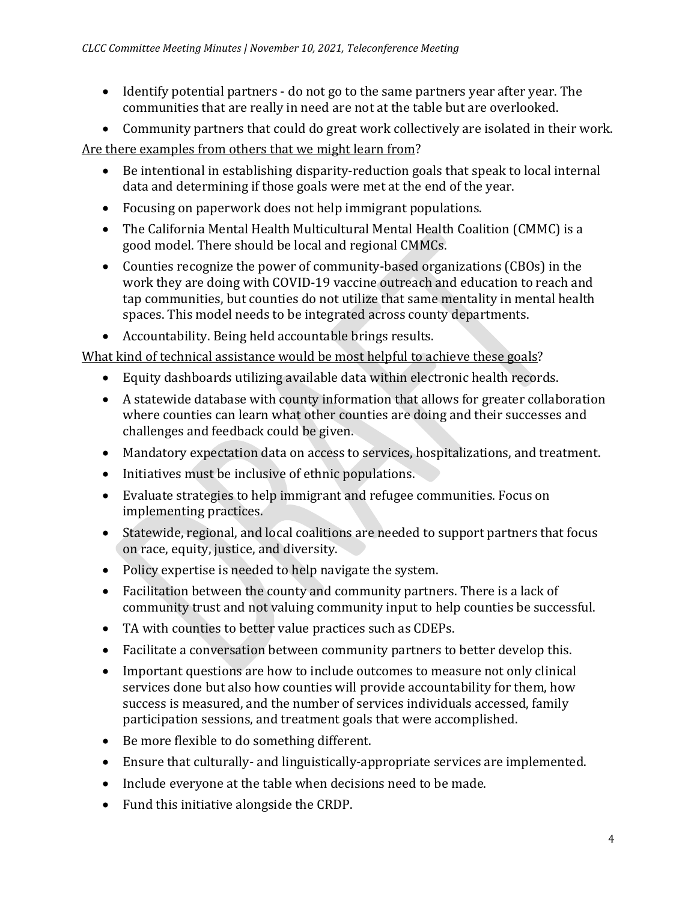- Identify potential partners do not go to the same partners year after year. The communities that are really in need are not at the table but are overlooked.
- Community partners that could do great work collectively are isolated in their work.

Are there examples from others that we might learn from?

- Be intentional in establishing disparity-reduction goals that speak to local internal data and determining if those goals were met at the end of the year.
- Focusing on paperwork does not help immigrant populations.
- The California Mental Health Multicultural Mental Health Coalition (CMMC) is a good model. There should be local and regional CMMCs.
- Counties recognize the power of community-based organizations (CBOs) in the work they are doing with COVID-19 vaccine outreach and education to reach and tap communities, but counties do not utilize that same mentality in mental health spaces. This model needs to be integrated across county departments.
- Accountability. Being held accountable brings results.

What kind of technical assistance would be most helpful to achieve these goals?

- Equity dashboards utilizing available data within electronic health records.
- A statewide database with county information that allows for greater collaboration where counties can learn what other counties are doing and their successes and challenges and feedback could be given.
- Mandatory expectation data on access to services, hospitalizations, and treatment.
- Initiatives must be inclusive of ethnic populations.
- Evaluate strategies to help immigrant and refugee communities. Focus on implementing practices.
- Statewide, regional, and local coalitions are needed to support partners that focus on race, equity, justice, and diversity.
- Policy expertise is needed to help navigate the system.
- Facilitation between the county and community partners. There is a lack of community trust and not valuing community input to help counties be successful.
- TA with counties to better value practices such as CDEPs.
- Facilitate a conversation between community partners to better develop this.
- Important questions are how to include outcomes to measure not only clinical services done but also how counties will provide accountability for them, how success is measured, and the number of services individuals accessed, family participation sessions, and treatment goals that were accomplished.
- Be more flexible to do something different.
- Ensure that culturally- and linguistically-appropriate services are implemented.
- Include everyone at the table when decisions need to be made.
- Fund this initiative alongside the CRDP.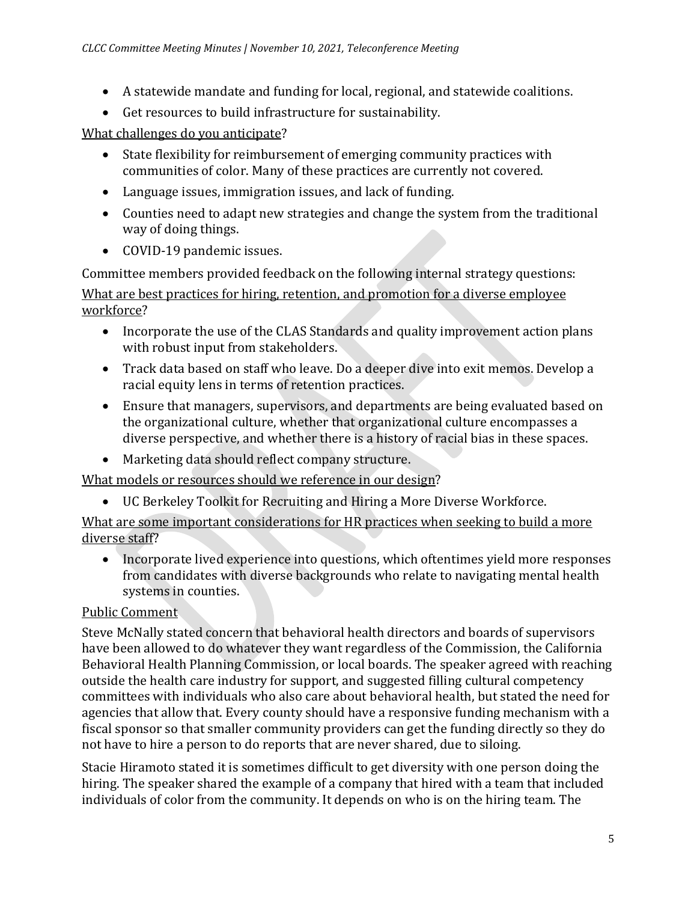- A statewide mandate and funding for local, regional, and statewide coalitions.
- Get resources to build infrastructure for sustainability.

What challenges do you anticipate?

- State flexibility for reimbursement of emerging community practices with communities of color. Many of these practices are currently not covered.
- Language issues, immigration issues, and lack of funding.
- Counties need to adapt new strategies and change the system from the traditional way of doing things.
- COVID-19 pandemic issues.

Committee members provided feedback on the following internal strategy questions:

What are best practices for hiring, retention, and promotion for a diverse employee workforce?

- Incorporate the use of the CLAS Standards and quality improvement action plans with robust input from stakeholders.
- Track data based on staff who leave. Do a deeper dive into exit memos. Develop a racial equity lens in terms of retention practices.
- Ensure that managers, supervisors, and departments are being evaluated based on the organizational culture, whether that organizational culture encompasses a diverse perspective, and whether there is a history of racial bias in these spaces.
- Marketing data should reflect company structure.

What models or resources should we reference in our design?

• UC Berkeley Toolkit for Recruiting and Hiring a More Diverse Workforce.

What are some important considerations for HR practices when seeking to build a more diverse staff?

• Incorporate lived experience into questions, which oftentimes yield more responses from candidates with diverse backgrounds who relate to navigating mental health systems in counties.

## Public Comment

Steve McNally stated concern that behavioral health directors and boards of supervisors have been allowed to do whatever they want regardless of the Commission, the California Behavioral Health Planning Commission, or local boards. The speaker agreed with reaching outside the health care industry for support, and suggested filling cultural competency committees with individuals who also care about behavioral health, but stated the need for agencies that allow that. Every county should have a responsive funding mechanism with a fiscal sponsor so that smaller community providers can get the funding directly so they do not have to hire a person to do reports that are never shared, due to siloing.

Stacie Hiramoto stated it is sometimes difficult to get diversity with one person doing the hiring. The speaker shared the example of a company that hired with a team that included individuals of color from the community. It depends on who is on the hiring team. The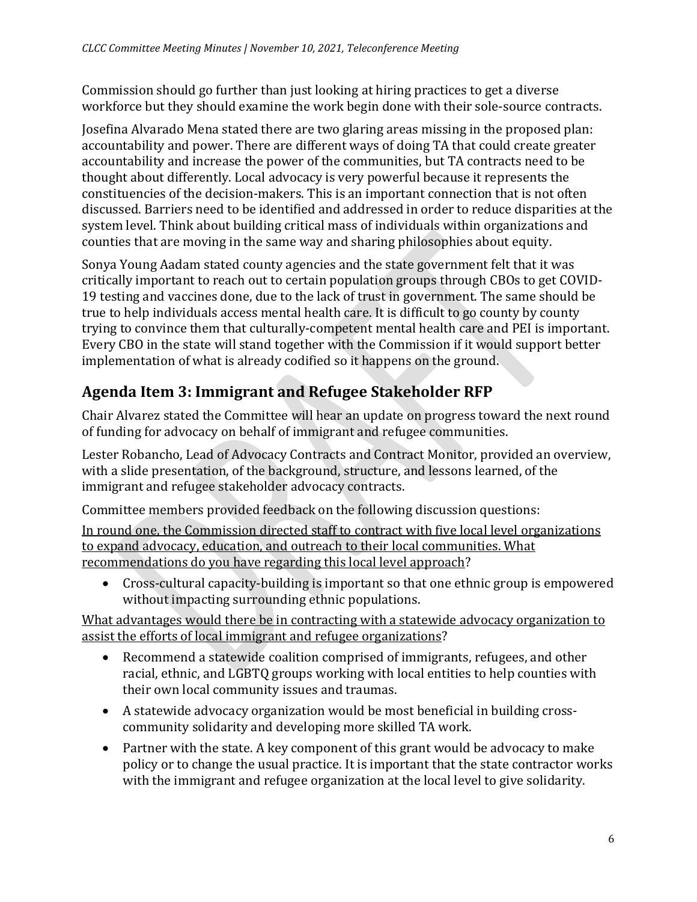Commission should go further than just looking at hiring practices to get a diverse workforce but they should examine the work begin done with their sole-source contracts.

Josefina Alvarado Mena stated there are two glaring areas missing in the proposed plan: accountability and power. There are different ways of doing TA that could create greater accountability and increase the power of the communities, but TA contracts need to be thought about differently. Local advocacy is very powerful because it represents the constituencies of the decision-makers. This is an important connection that is not often discussed. Barriers need to be identified and addressed in order to reduce disparities at the system level. Think about building critical mass of individuals within organizations and counties that are moving in the same way and sharing philosophies about equity.

Sonya Young Aadam stated county agencies and the state government felt that it was critically important to reach out to certain population groups through CBOs to get COVID-19 testing and vaccines done, due to the lack of trust in government. The same should be true to help individuals access mental health care. It is difficult to go county by county trying to convince them that culturally-competent mental health care and PEI is important. Every CBO in the state will stand together with the Commission if it would support better implementation of what is already codified so it happens on the ground.

# **Agenda Item 3: Immigrant and Refugee Stakeholder RFP**

Chair Alvarez stated the Committee will hear an update on progress toward the next round of funding for advocacy on behalf of immigrant and refugee communities.

Lester Robancho, Lead of Advocacy Contracts and Contract Monitor, provided an overview, with a slide presentation, of the background, structure, and lessons learned, of the immigrant and refugee stakeholder advocacy contracts.

Committee members provided feedback on the following discussion questions:

In round one, the Commission directed staff to contract with five local level organizations to expand advocacy, education, and outreach to their local communities. What recommendations do you have regarding this local level approach?

• Cross-cultural capacity-building is important so that one ethnic group is empowered without impacting surrounding ethnic populations.

What advantages would there be in contracting with a statewide advocacy organization to assist the efforts of local immigrant and refugee organizations?

- Recommend a statewide coalition comprised of immigrants, refugees, and other racial, ethnic, and LGBTQ groups working with local entities to help counties with their own local community issues and traumas.
- A statewide advocacy organization would be most beneficial in building crosscommunity solidarity and developing more skilled TA work.
- Partner with the state. A key component of this grant would be advocacy to make policy or to change the usual practice. It is important that the state contractor works with the immigrant and refugee organization at the local level to give solidarity.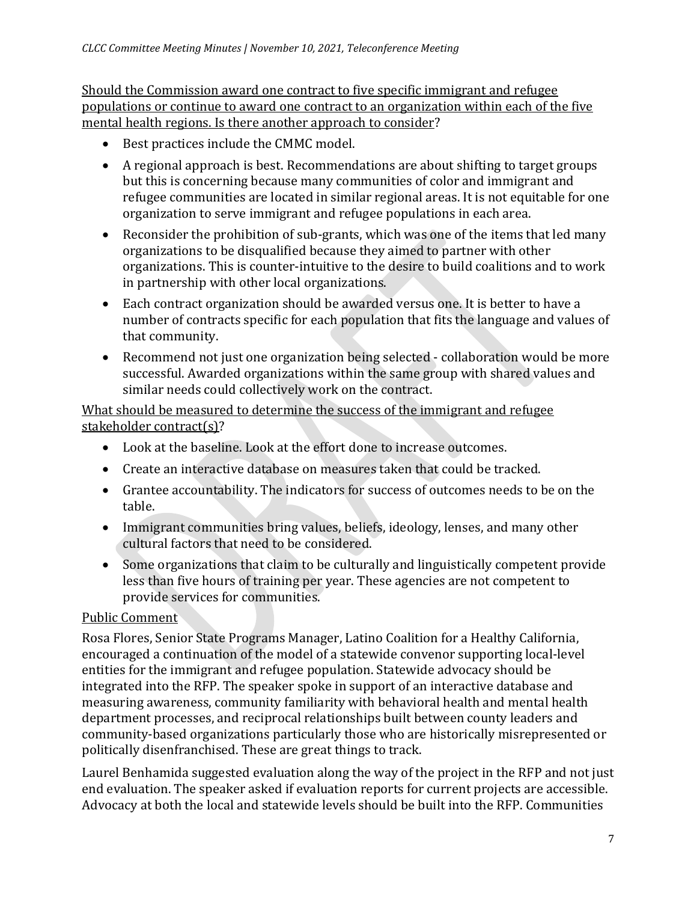Should the Commission award one contract to five specific immigrant and refugee populations or continue to award one contract to an organization within each of the five mental health regions. Is there another approach to consider?

- Best practices include the CMMC model.
- A regional approach is best. Recommendations are about shifting to target groups but this is concerning because many communities of color and immigrant and refugee communities are located in similar regional areas. It is not equitable for one organization to serve immigrant and refugee populations in each area.
- Reconsider the prohibition of sub-grants, which was one of the items that led many organizations to be disqualified because they aimed to partner with other organizations. This is counter-intuitive to the desire to build coalitions and to work in partnership with other local organizations.
- Each contract organization should be awarded versus one. It is better to have a number of contracts specific for each population that fits the language and values of that community.
- Recommend not just one organization being selected collaboration would be more successful. Awarded organizations within the same group with shared values and similar needs could collectively work on the contract.

What should be measured to determine the success of the immigrant and refugee stakeholder contract(s)?

- Look at the baseline. Look at the effort done to increase outcomes.
- Create an interactive database on measures taken that could be tracked.
- Grantee accountability. The indicators for success of outcomes needs to be on the table.
- Immigrant communities bring values, beliefs, ideology, lenses, and many other cultural factors that need to be considered.
- Some organizations that claim to be culturally and linguistically competent provide less than five hours of training per year. These agencies are not competent to provide services for communities.

### Public Comment

Rosa Flores, Senior State Programs Manager, Latino Coalition for a Healthy California, encouraged a continuation of the model of a statewide convenor supporting local-level entities for the immigrant and refugee population. Statewide advocacy should be integrated into the RFP. The speaker spoke in support of an interactive database and measuring awareness, community familiarity with behavioral health and mental health department processes, and reciprocal relationships built between county leaders and community-based organizations particularly those who are historically misrepresented or politically disenfranchised. These are great things to track.

Laurel Benhamida suggested evaluation along the way of the project in the RFP and not just end evaluation. The speaker asked if evaluation reports for current projects are accessible. Advocacy at both the local and statewide levels should be built into the RFP. Communities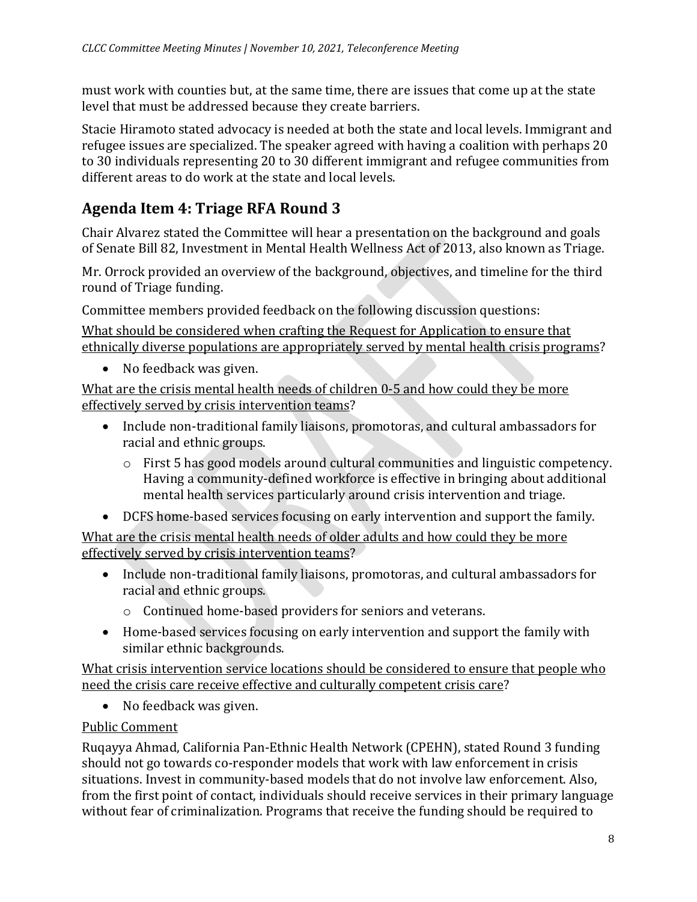must work with counties but, at the same time, there are issues that come up at the state level that must be addressed because they create barriers.

Stacie Hiramoto stated advocacy is needed at both the state and local levels. Immigrant and refugee issues are specialized. The speaker agreed with having a coalition with perhaps 20 to 30 individuals representing 20 to 30 different immigrant and refugee communities from different areas to do work at the state and local levels.

# **Agenda Item 4: Triage RFA Round 3**

Chair Alvarez stated the Committee will hear a presentation on the background and goals of Senate Bill 82, Investment in Mental Health Wellness Act of 2013, also known as Triage.

Mr. Orrock provided an overview of the background, objectives, and timeline for the third round of Triage funding.

Committee members provided feedback on the following discussion questions:

What should be considered when crafting the Request for Application to ensure that ethnically diverse populations are appropriately served by mental health crisis programs?

• No feedback was given.

What are the crisis mental health needs of children 0-5 and how could they be more effectively served by crisis intervention teams?

- Include non-traditional family liaisons, promotoras, and cultural ambassadors for racial and ethnic groups.
	- o First 5 has good models around cultural communities and linguistic competency. Having a community-defined workforce is effective in bringing about additional mental health services particularly around crisis intervention and triage.
- DCFS home-based services focusing on early intervention and support the family.

What are the crisis mental health needs of older adults and how could they be more effectively served by crisis intervention teams?

- Include non-traditional family liaisons, promotoras, and cultural ambassadors for racial and ethnic groups.
	- o Continued home-based providers for seniors and veterans.
- Home-based services focusing on early intervention and support the family with similar ethnic backgrounds.

What crisis intervention service locations should be considered to ensure that people who need the crisis care receive effective and culturally competent crisis care?

• No feedback was given.

### Public Comment

Ruqayya Ahmad, California Pan-Ethnic Health Network (CPEHN), stated Round 3 funding should not go towards co-responder models that work with law enforcement in crisis situations. Invest in community-based models that do not involve law enforcement. Also, from the first point of contact, individuals should receive services in their primary language without fear of criminalization. Programs that receive the funding should be required to